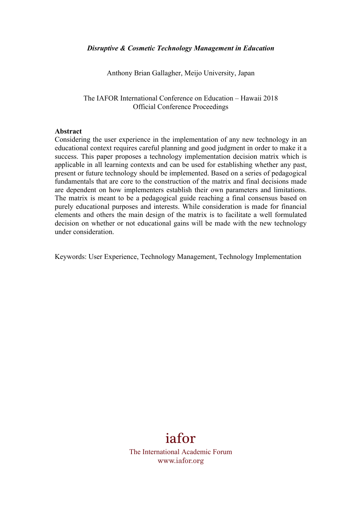### *Disruptive & Cosmetic Technology Management in Education*

Anthony Brian Gallagher, Meijo University, Japan

The IAFOR International Conference on Education – Hawaii 2018 Official Conference Proceedings

#### **Abstract**

Considering the user experience in the implementation of any new technology in an educational context requires careful planning and good judgment in order to make it a success. This paper proposes a technology implementation decision matrix which is applicable in all learning contexts and can be used for establishing whether any past, present or future technology should be implemented. Based on a series of pedagogical fundamentals that are core to the construction of the matrix and final decisions made are dependent on how implementers establish their own parameters and limitations. The matrix is meant to be a pedagogical guide reaching a final consensus based on purely educational purposes and interests. While consideration is made for financial elements and others the main design of the matrix is to facilitate a well formulated decision on whether or not educational gains will be made with the new technology under consideration.

Keywords: User Experience, Technology Management, Technology Implementation

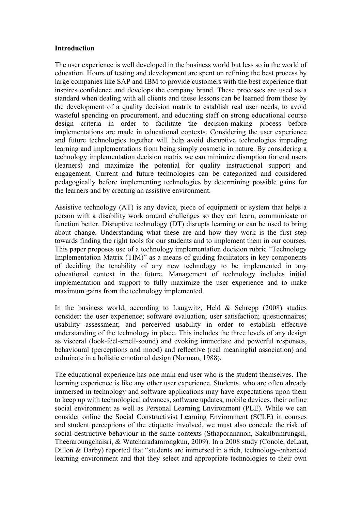### **Introduction**

The user experience is well developed in the business world but less so in the world of education. Hours of testing and development are spent on refining the best process by large companies like SAP and IBM to provide customers with the best experience that inspires confidence and develops the company brand. These processes are used as a standard when dealing with all clients and these lessons can be learned from these by the development of a quality decision matrix to establish real user needs, to avoid wasteful spending on procurement, and educating staff on strong educational course design criteria in order to facilitate the decision-making process before implementations are made in educational contexts. Considering the user experience and future technologies together will help avoid disruptive technologies impeding learning and implementations from being simply cosmetic in nature. By considering a technology implementation decision matrix we can minimize disruption for end users (learners) and maximize the potential for quality instructional support and engagement. Current and future technologies can be categorized and considered pedagogically before implementing technologies by determining possible gains for the learners and by creating an assistive environment.

Assistive technology (AT) is any device, piece of equipment or system that helps a person with a disability work around challenges so they can learn, communicate or function better. Disruptive technology (DT) disrupts learning or can be used to bring about change. Understanding what these are and how they work is the first step towards finding the right tools for our students and to implement them in our courses. This paper proposes use of a technology implementation decision rubric "Technology Implementation Matrix (TIM)" as a means of guiding facilitators in key components of deciding the tenability of any new technology to be implemented in any educational context in the future. Management of technology includes initial implementation and support to fully maximize the user experience and to make maximum gains from the technology implemented.

In the business world, according to Laugwitz, Held  $\&$  Schrepp (2008) studies consider: the user experience; software evaluation; user satisfaction; questionnaires; usability assessment; and perceived usability in order to establish effective understanding of the technology in place. This includes the three levels of any design as visceral (look-feel-smell-sound) and evoking immediate and powerful responses, behavioural (perceptions and mood) and reflective (real meaningful association) and culminate in a holistic emotional design (Norman, 1988).

The educational experience has one main end user who is the student themselves. The learning experience is like any other user experience. Students, who are often already immersed in technology and software applications may have expectations upon them to keep up with technological advances, software updates, mobile devices, their online social environment as well as Personal Learning Environment (PLE). While we can consider online the Social Constructivist Learning Environment (SCLE) in courses and student perceptions of the etiquette involved, we must also concede the risk of social destructive behaviour in the same contexts (Sthapornnanon, Sakulbumrungsil, Theeraroungchaisri, & Watcharadamrongkun, 2009). In a 2008 study (Conole, deLaat, Dillon & Darby) reported that "students are immersed in a rich, technology-enhanced learning environment and that they select and appropriate technologies to their own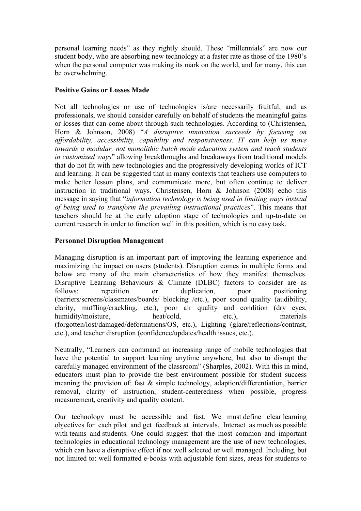personal learning needs" as they rightly should. These "millennials" are now our student body, who are absorbing new technology at a faster rate as those of the 1980's when the personal computer was making its mark on the world, and for many, this can be overwhelming.

# **Positive Gains or Losses Made**

Not all technologies or use of technologies is/are necessarily fruitful, and as professionals, we should consider carefully on behalf of students the meaningful gains or losses that can come about through such technologies. According to (Christensen, Horn & Johnson, 2008) "*A disruptive innovation succeeds by focusing on affordability, accessibility, capability and responsiveness. IT can help us move towards a modular, not monolithic batch mode education system and teach students in customized ways*" allowing breakthroughs and breakaways from traditional models that do not fit with new technologies and the progressively developing worlds of ICT and learning. It can be suggested that in many contexts that teachers use computers to make better lesson plans, and communicate more, but often continue to deliver instruction in traditional ways. Christensen, Horn & Johnson (2008) echo this message in saying that "*information technology is being used in limiting ways instead of being used to transform the prevailing instructional practices*". This means that teachers should be at the early adoption stage of technologies and up-to-date on current research in order to function well in this position, which is no easy task.

# **Personnel Disruption Management**

Managing disruption is an important part of improving the learning experience and maximizing the impact on users (students). Disruption comes in multiple forms and below are many of the main characteristics of how they manifest themselves. Disruptive Learning Behaviours & Climate (DLBC) factors to consider are as follows: repetition or duplication, poor positioning (barriers/screens/classmates/boards/ blocking /etc.), poor sound quality (audibility, clarity, muffling/crackling, etc.), poor air quality and condition (dry eyes, humidity/moisture, heat/cold, etc.), materials (forgotten/lost/damaged/deformations/OS, etc.), Lighting (glare/reflections/contrast, etc.), and teacher disruption (confidence/updates/health issues, etc.).

Neutrally, "Learners can command an increasing range of mobile technologies that have the potential to support learning anytime anywhere, but also to disrupt the carefully managed environment of the classroom" (Sharples, 2002). With this in mind, educators must plan to provide the best environment possible for student success meaning the provision of: fast & simple technology, adaption/differentiation, barrier removal, clarity of instruction, student-centeredness when possible, progress measurement, creativity and quality content.

Our technology must be accessible and fast. We must define clear learning objectives for each pilot and get feedback at intervals. Interact as much as possible with teams and students. One could suggest that the most common and important technologies in educational technology management are the use of new technologies, which can have a disruptive effect if not well selected or well managed. Including, but not limited to: well formatted e-books with adjustable font sizes, areas for students to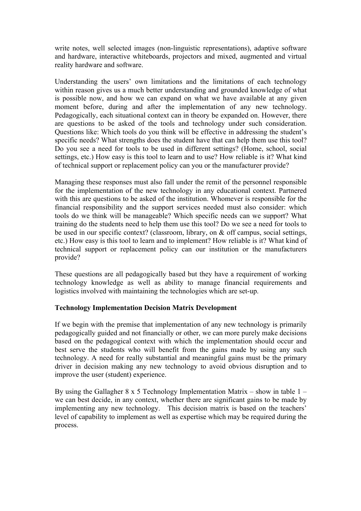write notes, well selected images (non-linguistic representations), adaptive software and hardware, interactive whiteboards, projectors and mixed, augmented and virtual reality hardware and software.

Understanding the users' own limitations and the limitations of each technology within reason gives us a much better understanding and grounded knowledge of what is possible now, and how we can expand on what we have available at any given moment before, during and after the implementation of any new technology. Pedagogically, each situational context can in theory be expanded on. However, there are questions to be asked of the tools and technology under such consideration. Questions like: Which tools do you think will be effective in addressing the student's specific needs? What strengths does the student have that can help them use this tool? Do you see a need for tools to be used in different settings? (Home, school, social settings, etc.) How easy is this tool to learn and to use? How reliable is it? What kind of technical support or replacement policy can you or the manufacturer provide?

Managing these responses must also fall under the remit of the personnel responsible for the implementation of the new technology in any educational context. Partnered with this are questions to be asked of the institution. Whomever is responsible for the financial responsibility and the support services needed must also consider: which tools do we think will be manageable? Which specific needs can we support? What training do the students need to help them use this tool? Do we see a need for tools to be used in our specific context? (classroom, library, on & off campus, social settings, etc.) How easy is this tool to learn and to implement? How reliable is it? What kind of technical support or replacement policy can our institution or the manufacturers provide?

These questions are all pedagogically based but they have a requirement of working technology knowledge as well as ability to manage financial requirements and logistics involved with maintaining the technologies which are set-up.

# **Technology Implementation Decision Matrix Development**

If we begin with the premise that implementation of any new technology is primarily pedagogically guided and not financially or other, we can more purely make decisions based on the pedagogical context with which the implementation should occur and best serve the students who will benefit from the gains made by using any such technology. A need for really substantial and meaningful gains must be the primary driver in decision making any new technology to avoid obvious disruption and to improve the user (student) experience.

By using the Gallagher 8 x 5 Technology Implementation Matrix – show in table  $1$ we can best decide, in any context, whether there are significant gains to be made by implementing any new technology. This decision matrix is based on the teachers' level of capability to implement as well as expertise which may be required during the process.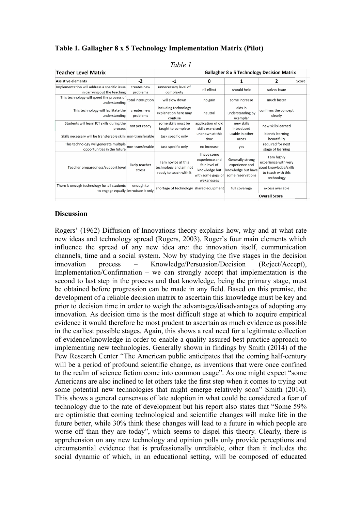| Table 1                                                                            |                          |                                                                        |                                                                                                    |                                                                                      |                                                                                                  |       |
|------------------------------------------------------------------------------------|--------------------------|------------------------------------------------------------------------|----------------------------------------------------------------------------------------------------|--------------------------------------------------------------------------------------|--------------------------------------------------------------------------------------------------|-------|
| <b>Teacher Level Matrix</b>                                                        |                          |                                                                        | <b>Gallagher 8 x 5 Technology Decision Matrix</b>                                                  |                                                                                      |                                                                                                  |       |
| <b>Assistive elements</b>                                                          | $-2$                     | $-1$                                                                   | 0                                                                                                  | 1                                                                                    | 2                                                                                                | Score |
| Implementation will address a specific issue<br>in carrying out the teaching       | creates new<br>problems  | unnecessary level of<br>complexity                                     | nil effect                                                                                         | should help                                                                          | solves issue                                                                                     |       |
| This technology will speed the process of<br>understanding                         | total interuption        | will slow down                                                         | no gain                                                                                            | some increase                                                                        | much faster                                                                                      |       |
| This technology will facilitate the<br>understanding                               | creates new<br>problems  | including technology<br>explanation here may<br>confuse                | neutral                                                                                            | aids in<br>understanding by<br>exemplar                                              | confirms the concept<br>clearly                                                                  |       |
| Students will learn ICT skills during the<br>process                               | not yet ready            | some skills must be<br>taught to complete                              | application of old<br>skills exercised                                                             | new skills<br>introduced                                                             | new skills learned                                                                               |       |
| Skills necessary will be transferable skills non-transferable                      |                          | task specific only                                                     | unknown at this<br>time                                                                            | usable in other<br>areas                                                             | blends learning<br>beautifully                                                                   |       |
| This technology will generate multiple<br>opportunities in the future              | non-transferable         | task specific only                                                     | no increase                                                                                        | yes                                                                                  | required for next<br>stage of learning                                                           |       |
| Teacher preparedness/support level                                                 | likely teacher<br>stress | I am novice at this<br>technology and am not<br>ready to teach with it | I have some<br>experience and<br>fair level of<br>knowledge but<br>with some gaps or<br>wekanesses | <b>Generally strong</b><br>experience and<br>knowledge but have<br>some reservations | I am highly<br>experience with very<br>good knowledge/skills<br>to teach with this<br>technology |       |
| There is enough technology for all students<br>to engage equally introduce it only | enough to                | shortage of technology shared equipment                                |                                                                                                    | full coverage                                                                        | excess available                                                                                 |       |
|                                                                                    |                          |                                                                        |                                                                                                    |                                                                                      | <b>Overall Score</b>                                                                             |       |

# **Table 1. Gallagher 8 x 5 Technology Implementation Matrix (Pilot)**

## **Discussion**

Rogers' (1962) Diffusion of Innovations theory explains how, why and at what rate new ideas and technology spread (Rogers, 2003). Roger's four main elements which influence the spread of any new idea are: the innovation itself, communication channels, time and a social system. Now by studying the five stages in the decision innovation process – Knowledge/Persuasion/Decision (Reject/Accept), Implementation/Confirmation – we can strongly accept that implementation is the second to last step in the process and that knowledge, being the primary stage, must be obtained before progression can be made in any field. Based on this premise, the development of a reliable decision matrix to ascertain this knowledge must be key and prior to decision time in order to weigh the advantages/disadvantages of adopting any innovation. As decision time is the most difficult stage at which to acquire empirical evidence it would therefore be most prudent to ascertain as much evidence as possible in the earliest possible stages. Again, this shows a real need for a legitimate collection of evidence/knowledge in order to enable a quality assured best practice approach to implementing new technologies. Generally shown in findings by Smith (2014) of the Pew Research Center "The American public anticipates that the coming half-century will be a period of profound scientific change, as inventions that were once confined to the realm of science fiction come into common usage". As one might expect "some Americans are also inclined to let others take the first step when it comes to trying out some potential new technologies that might emerge relatively soon" Smith (2014). This shows a general consensus of late adoption in what could be considered a fear of technology due to the rate of development but his report also states that "Some 59% are optimistic that coming technological and scientific changes will make life in the future better, while 30% think these changes will lead to a future in which people are worse off than they are today", which seems to dispel this theory. Clearly, there is apprehension on any new technology and opinion polls only provide perceptions and circumstantial evidence that is professionally unreliable, other than it includes the social dynamic of which, in an educational setting, will be composed of educated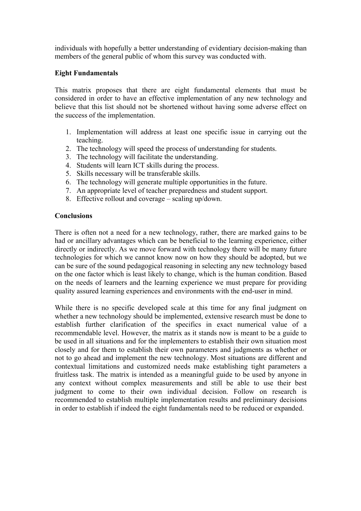individuals with hopefully a better understanding of evidentiary decision-making than members of the general public of whom this survey was conducted with.

## **Eight Fundamentals**

This matrix proposes that there are eight fundamental elements that must be considered in order to have an effective implementation of any new technology and believe that this list should not be shortened without having some adverse effect on the success of the implementation.

- 1. Implementation will address at least one specific issue in carrying out the teaching.
- 2. The technology will speed the process of understanding for students.
- 3. The technology will facilitate the understanding.
- 4. Students will learn ICT skills during the process.
- 5. Skills necessary will be transferable skills.
- 6. The technology will generate multiple opportunities in the future.
- 7. An appropriate level of teacher preparedness and student support.
- 8. Effective rollout and coverage scaling up/down.

## **Conclusions**

There is often not a need for a new technology, rather, there are marked gains to be had or ancillary advantages which can be beneficial to the learning experience, either directly or indirectly. As we move forward with technology there will be many future technologies for which we cannot know now on how they should be adopted, but we can be sure of the sound pedagogical reasoning in selecting any new technology based on the one factor which is least likely to change, which is the human condition. Based on the needs of learners and the learning experience we must prepare for providing quality assured learning experiences and environments with the end-user in mind.

While there is no specific developed scale at this time for any final judgment on whether a new technology should be implemented, extensive research must be done to establish further clarification of the specifics in exact numerical value of a recommendable level. However, the matrix as it stands now is meant to be a guide to be used in all situations and for the implementers to establish their own situation most closely and for them to establish their own parameters and judgments as whether or not to go ahead and implement the new technology. Most situations are different and contextual limitations and customized needs make establishing tight parameters a fruitless task. The matrix is intended as a meaningful guide to be used by anyone in any context without complex measurements and still be able to use their best judgment to come to their own individual decision. Follow on research is recommended to establish multiple implementation results and preliminary decisions in order to establish if indeed the eight fundamentals need to be reduced or expanded.